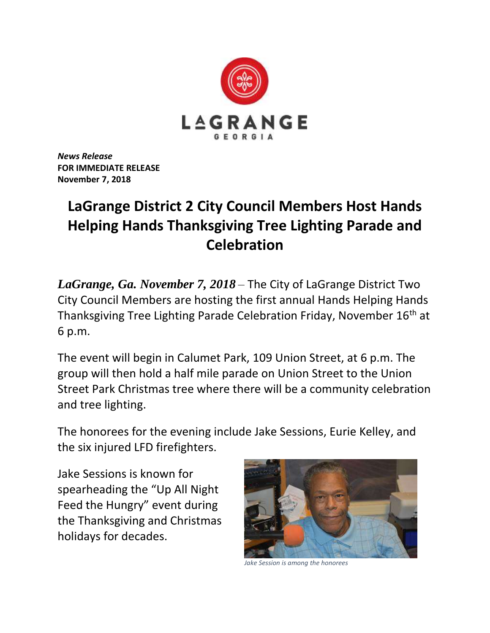

*News Release* **FOR IMMEDIATE RELEASE November 7, 2018**

## **LaGrange District 2 City Council Members Host Hands Helping Hands Thanksgiving Tree Lighting Parade and Celebration**

*LaGrange, Ga. November 7, 2018* – The City of LaGrange District Two City Council Members are hosting the first annual Hands Helping Hands Thanksgiving Tree Lighting Parade Celebration Friday, November 16th at 6 p.m.

The event will begin in Calumet Park, 109 Union Street, at 6 p.m. The group will then hold a half mile parade on Union Street to the Union Street Park Christmas tree where there will be a community celebration and tree lighting.

The honorees for the evening include Jake Sessions, Eurie Kelley, and the six injured LFD firefighters.

Jake Sessions is known for spearheading the "Up All Night Feed the Hungry" event during the Thanksgiving and Christmas holidays for decades.



*Jake Session is among the honorees*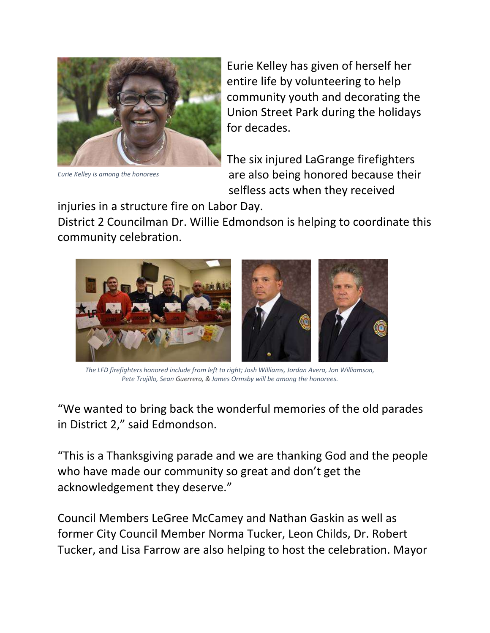

*Eurie Kelley is among the honorees*

Eurie Kelley has given of herself her entire life by volunteering to help community youth and decorating the Union Street Park during the holidays for decades.

The six injured LaGrange firefighters are also being honored because their selfless acts when they received

injuries in a structure fire on Labor Day.

District 2 Councilman Dr. Willie Edmondson is helping to coordinate this community celebration.



*The LFD firefighters honored include from left to right; Josh Williams, Jordan Avera, Jon Williamson, Pete Trujillo, Sean Guerrero, & James Ormsby will be among the honorees.*

"We wanted to bring back the wonderful memories of the old parades in District 2," said Edmondson.

"This is a Thanksgiving parade and we are thanking God and the people who have made our community so great and don't get the acknowledgement they deserve."

Council Members LeGree McCamey and Nathan Gaskin as well as former City Council Member Norma Tucker, Leon Childs, Dr. Robert Tucker, and Lisa Farrow are also helping to host the celebration. Mayor